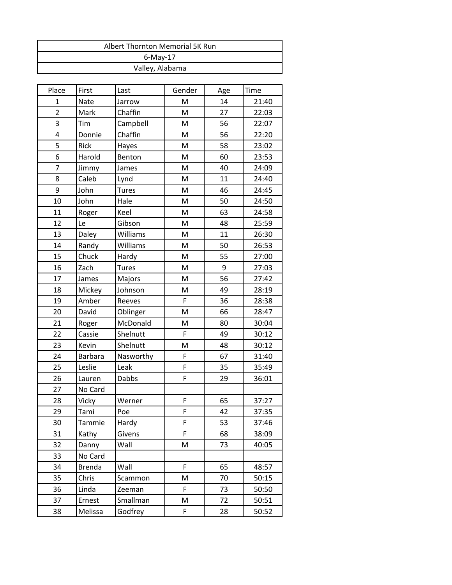| Albert Thornton Memorial 5K Run |
|---------------------------------|
| $6$ -May-17                     |
| Valley, Alabama                 |
|                                 |

| Place          | First         | Last         | Gender | Age | Time  |
|----------------|---------------|--------------|--------|-----|-------|
| $\mathbf{1}$   | Nate          | Jarrow       | M      | 14  | 21:40 |
| $\overline{2}$ | Mark          | Chaffin      | M      | 27  | 22:03 |
| 3              | Tim           | Campbell     | M      | 56  | 22:07 |
| 4              | Donnie        | Chaffin      | M      | 56  | 22:20 |
| 5              | Rick          | Hayes        | M      | 58  | 23:02 |
| 6              | Harold        | Benton       | M      | 60  | 23:53 |
| $\overline{7}$ | Jimmy         | James        | M      | 40  | 24:09 |
| 8              | Caleb         | Lynd         | M      | 11  | 24:40 |
| 9              | John          | <b>Tures</b> | M      | 46  | 24:45 |
| 10             | John          | Hale         | M      | 50  | 24:50 |
| 11             | Roger         | Keel         | M      | 63  | 24:58 |
| 12             | Le            | Gibson       | M      | 48  | 25:59 |
| 13             | Daley         | Williams     | M      | 11  | 26:30 |
| 14             | Randy         | Williams     | M      | 50  | 26:53 |
| 15             | Chuck         | Hardy        | M      | 55  | 27:00 |
| 16             | Zach          | <b>Tures</b> | M      | 9   | 27:03 |
| 17             | James         | Majors       | M      | 56  | 27:42 |
| 18             | Mickey        | Johnson      | M      | 49  | 28:19 |
| 19             | Amber         | Reeves       | F      | 36  | 28:38 |
| 20             | David         | Oblinger     | M      | 66  | 28:47 |
| 21             | Roger         | McDonald     | M      | 80  | 30:04 |
| 22             | Cassie        | Shelnutt     | F      | 49  | 30:12 |
| 23             | Kevin         | Shelnutt     | M      | 48  | 30:12 |
| 24             | Barbara       | Nasworthy    | F      | 67  | 31:40 |
| 25             | Leslie        | Leak         | F      | 35  | 35:49 |
| 26             | Lauren        | Dabbs        | F      | 29  | 36:01 |
| 27             | No Card       |              |        |     |       |
| 28             | Vicky         | Werner       | F      | 65  | 37:27 |
| 29             | Tami          | Poe          | F      | 42  | 37:35 |
| 30             | Tammie        | Hardy        | F      | 53  | 37:46 |
| 31             | Kathy         | Givens       | F      | 68  | 38:09 |
| 32             | Danny         | Wall         | M      | 73  | 40:05 |
| 33             | No Card       |              |        |     |       |
| 34             | <b>Brenda</b> | Wall         | F      | 65  | 48:57 |
| 35             | Chris         | Scammon      | M      | 70  | 50:15 |
| 36             | Linda         | Zeeman       | F      | 73  | 50:50 |
| 37             | Ernest        | Smallman     | M      | 72  | 50:51 |
| 38             | Melissa       | Godfrey      | F      | 28  | 50:52 |
|                |               |              |        |     |       |